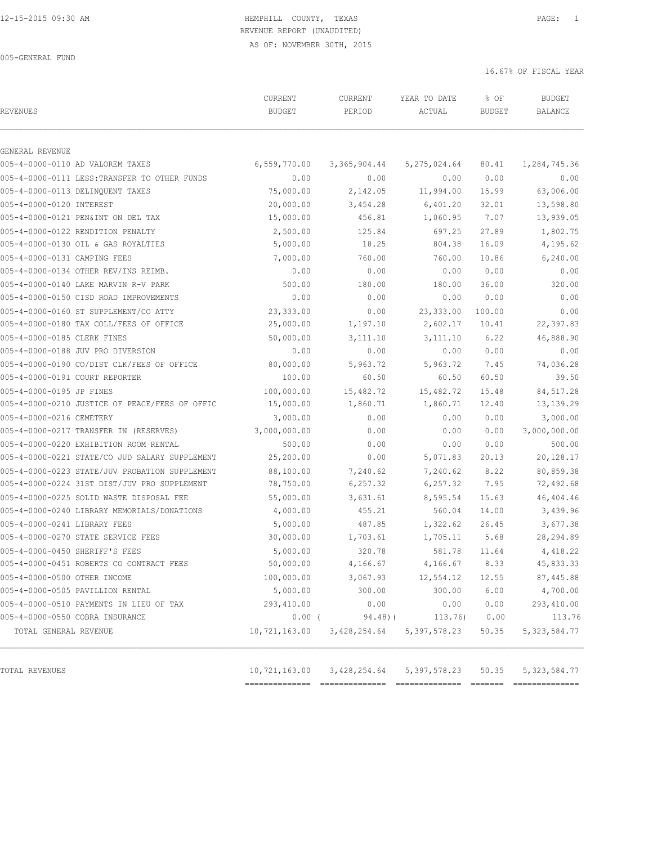005-GENERAL FUND

| REVENUES                                                                          | CURRENT<br><b>BUDGET</b> | CURRENT<br>PERIOD | YEAR TO DATE<br>ACTUAL | % OF<br><b>BUDGET</b> | <b>BUDGET</b><br>BALANCE |
|-----------------------------------------------------------------------------------|--------------------------|-------------------|------------------------|-----------------------|--------------------------|
|                                                                                   |                          |                   |                        |                       |                          |
| GENERAL REVENUE                                                                   |                          |                   |                        |                       |                          |
| 005-4-0000-0110 AD VALOREM TAXES<br>005-4-0000-0111 LESS: TRANSFER TO OTHER FUNDS | 6,559,770.00<br>0.00     | 3,365,904.44      | 5, 275, 024.64<br>0.00 | 80.41                 | 1,284,745.36<br>0.00     |
| 005-4-0000-0113 DELINQUENT TAXES                                                  | 75,000.00                | 0.00<br>2,142.05  | 11,994.00              | 0.00<br>15.99         | 63,006.00                |
|                                                                                   |                          |                   |                        |                       | 13,598.80                |
| 005-4-0000-0120 INTEREST<br>005-4-0000-0121 PEN&INT ON DEL TAX                    | 20,000.00                | 3,454.28          | 6,401.20<br>1,060.95   | 32.01<br>7.07         |                          |
|                                                                                   | 15,000.00                | 456.81            |                        |                       | 13,939.05                |
| 005-4-0000-0122 RENDITION PENALTY                                                 | 2,500.00                 | 125.84            | 697.25                 | 27.89                 | 1,802.75                 |
| 005-4-0000-0130 OIL & GAS ROYALTIES                                               | 5,000.00                 | 18.25             | 804.38                 | 16.09                 | 4,195.62                 |
| 005-4-0000-0131 CAMPING FEES                                                      | 7,000.00<br>0.00         | 760.00<br>0.00    | 760.00                 | 10.86<br>0.00         | 6, 240.00<br>0.00        |
| 005-4-0000-0134 OTHER REV/INS REIMB.                                              |                          |                   | 0.00                   |                       |                          |
| 005-4-0000-0140 LAKE MARVIN R-V PARK                                              | 500.00<br>0.00           | 180.00            | 180.00                 | 36.00                 | 320.00<br>0.00           |
| 005-4-0000-0150 CISD ROAD IMPROVEMENTS                                            |                          | 0.00              | 0.00                   | 0.00                  |                          |
| 005-4-0000-0160 ST SUPPLEMENT/CO ATTY                                             | 23,333.00                | 0.00              | 23, 333.00             | 100.00                | 0.00                     |
| 005-4-0000-0180 TAX COLL/FEES OF OFFICE<br>005-4-0000-0185 CLERK FINES            | 25,000.00                | 1,197.10          | 2,602.17               | 10.41                 | 22,397.83                |
| 005-4-0000-0188 JUV PRO DIVERSION                                                 | 50,000.00                | 3,111.10<br>0.00  | 3,111.10               | 6.22<br>0.00          | 46,888.90<br>0.00        |
|                                                                                   | 0.00                     |                   | 0.00                   |                       |                          |
| 005-4-0000-0190 CO/DIST CLK/FEES OF OFFICE<br>005-4-0000-0191 COURT REPORTER      | 80,000.00                | 5,963.72          | 5,963.72               | 7.45                  | 74,036.28                |
|                                                                                   | 100.00                   | 60.50             | 60.50                  | 60.50                 | 39.50                    |
| 005-4-0000-0195 JP FINES                                                          | 100,000.00               | 15,482.72         | 15,482.72              | 15.48                 | 84,517.28                |
| 005-4-0000-0210 JUSTICE OF PEACE/FEES OF OFFIC                                    | 15,000.00                | 1,860.71          | 1,860.71               | 12.40                 | 13,139.29                |
| 005-4-0000-0216 CEMETERY                                                          | 3,000.00                 | 0.00              | 0.00                   | 0.00                  | 3,000.00                 |
| 005-4-0000-0217 TRANSFER IN (RESERVES)                                            | 3,000,000.00             | 0.00              | 0.00                   | 0.00                  | 3,000,000.00             |
| 005-4-0000-0220 EXHIBITION ROOM RENTAL                                            | 500.00                   | 0.00              | 0.00                   | 0.00                  | 500.00                   |
| 005-4-0000-0221 STATE/CO JUD SALARY SUPPLEMENT                                    | 25,200.00                | 0.00              | 5,071.83               | 20.13                 | 20,128.17                |
| 005-4-0000-0223 STATE/JUV PROBATION SUPPLEMENT                                    | 88,100.00                | 7,240.62          | 7,240.62               | 8.22                  | 80,859.38                |
| 005-4-0000-0224 31ST DIST/JUV PRO SUPPLEMENT                                      | 78,750.00                | 6, 257.32         | 6, 257.32              | 7.95                  | 72,492.68                |
| 005-4-0000-0225 SOLID WASTE DISPOSAL FEE                                          | 55,000.00                | 3,631.61          | 8,595.54               | 15.63                 | 46,404.46                |
| 005-4-0000-0240 LIBRARY MEMORIALS/DONATIONS                                       | 4,000.00                 | 455.21            | 560.04                 | 14.00                 | 3,439.96                 |
| 005-4-0000-0241 LIBRARY FEES                                                      | 5,000.00                 | 487.85            | 1,322.62               | 26.45                 | 3,677.38                 |
| 005-4-0000-0270 STATE SERVICE FEES                                                | 30,000.00                | 1,703.61          | 1,705.11               | 5.68                  | 28, 294.89               |
| 005-4-0000-0450 SHERIFF'S FEES                                                    | 5,000.00                 | 320.78            | 581.78                 | 11.64                 | 4,418.22                 |
| 005-4-0000-0451 ROBERTS CO CONTRACT FEES                                          | 50,000.00                | 4,166.67          | 4,166.67               | 8.33                  | 45,833.33                |
| 005-4-0000-0500 OTHER INCOME                                                      | 100,000.00               | 3,067.93          | 12,554.12              | 12.55                 | 87,445.88                |
| 005-4-0000-0505 PAVILLION RENTAL                                                  | 5,000.00                 | 300.00            | 300.00                 | 6.00                  | 4,700.00                 |
| 005-4-0000-0510 PAYMENTS IN LIEU OF TAX                                           | 293,410.00               | 0.00              | 0.00                   | 0.00                  | 293,410.00               |
| 005-4-0000-0550 COBRA INSURANCE                                                   | $0.00$ (                 | 94.48(            | 113.76)                | 0.00                  | 113.76                   |
| TOTAL GENERAL REVENUE                                                             | 10,721,163.00            | 3,428,254.64      | 5, 397, 578.23         | 50.35                 | 5, 323, 584.77           |
|                                                                                   |                          |                   |                        |                       |                          |
| TOTAL REVENUES                                                                    | 10,721,163.00            | 3,428,254.64      | 5, 397, 578.23         | 50.35                 | 5, 323, 584.77           |

============== ============== ============== ======= ==============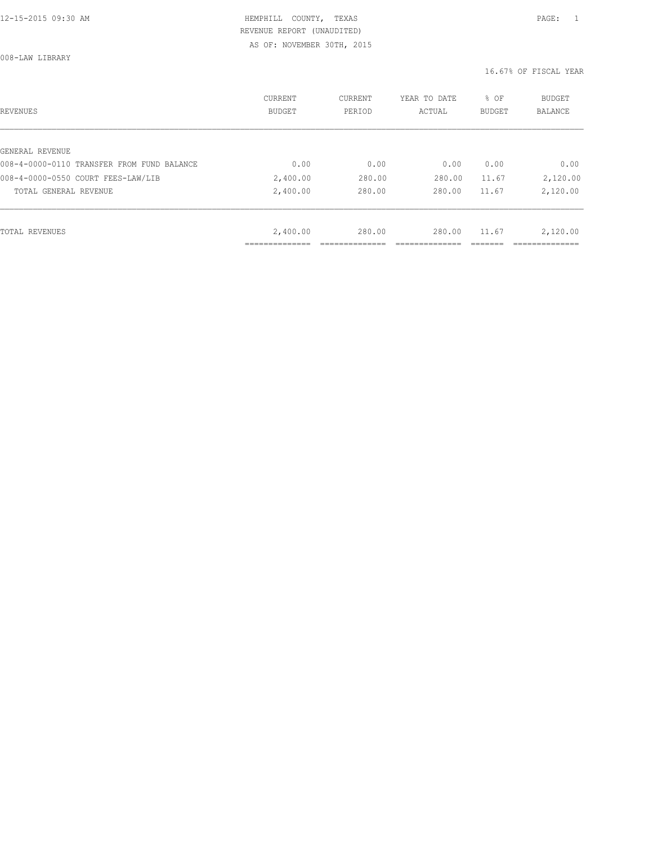008-LAW LIBRARY

| REVENUES                                   | CURRENT<br><b>BUDGET</b> | CURRENT<br>PERIOD | YEAR TO DATE<br>ACTUAL | % OF<br>BUDGET | BUDGET<br><b>BALANCE</b> |
|--------------------------------------------|--------------------------|-------------------|------------------------|----------------|--------------------------|
|                                            |                          |                   |                        |                |                          |
| GENERAL REVENUE                            |                          |                   |                        |                |                          |
| 008-4-0000-0110 TRANSFER FROM FUND BALANCE | 0.00                     | 0.00              | 0.00                   | 0.00           | 0.00                     |
| 008-4-0000-0550 COURT FEES-LAW/LIB         | 2,400.00                 | 280.00            | 280.00                 | 11.67          | 2,120.00                 |
| TOTAL GENERAL REVENUE                      | 2,400.00                 | 280.00            | 280.00                 | 11.67          | 2,120.00                 |
|                                            |                          |                   |                        |                |                          |
| TOTAL REVENUES                             | 2,400.00                 | 280.00            | 280.00                 | 11.67          | 2,120.00                 |
|                                            |                          |                   |                        |                |                          |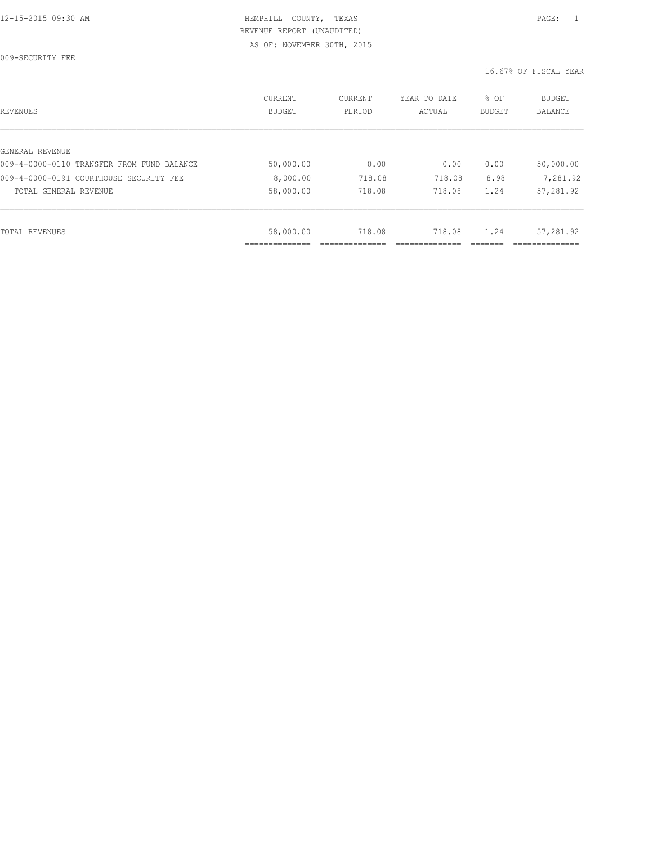009-SECURITY FEE

| REVENUES                                   | CURRENT<br><b>BUDGET</b> | CURRENT<br>PERIOD | YEAR TO DATE<br>ACTUAL | % OF<br><b>BUDGET</b> | <b>BUDGET</b><br>BALANCE |
|--------------------------------------------|--------------------------|-------------------|------------------------|-----------------------|--------------------------|
| GENERAL REVENUE                            |                          |                   |                        |                       |                          |
| 009-4-0000-0110 TRANSFER FROM FUND BALANCE | 50,000.00                | 0.00              | 0.00                   | 0.00                  | 50,000.00                |
| 009-4-0000-0191 COURTHOUSE SECURITY FEE    | 8,000.00                 | 718.08            | 718.08                 | 8.98                  | 7,281.92                 |
| TOTAL GENERAL REVENUE                      | 58,000.00                | 718.08            | 718.08                 | 1.24                  | 57,281.92                |
|                                            |                          |                   |                        |                       |                          |
| TOTAL REVENUES                             | 58,000.00                | 718.08            | 718.08                 | 1.24                  | 57,281.92                |
|                                            | ___________              |                   |                        |                       |                          |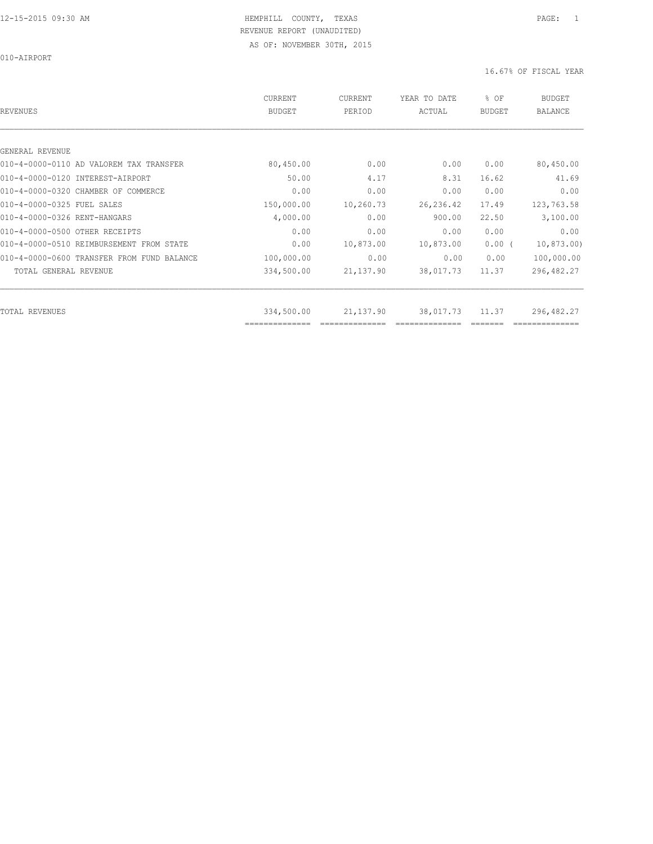010-AIRPORT

| REVENUES                                   | <b>CURRENT</b><br><b>BUDGET</b> | CURRENT<br>PERIOD | YEAR TO DATE<br>ACTUAL | % OF<br><b>BUDGET</b> | <b>BUDGET</b><br><b>BALANCE</b> |
|--------------------------------------------|---------------------------------|-------------------|------------------------|-----------------------|---------------------------------|
|                                            |                                 |                   |                        |                       |                                 |
| GENERAL REVENUE                            |                                 |                   |                        |                       |                                 |
| 010-4-0000-0110 AD VALOREM TAX TRANSFER    | 80,450.00                       | 0.00              | 0.00                   | 0.00                  | 80,450.00                       |
| 010-4-0000-0120 INTEREST-AIRPORT           | 50.00                           | 4.17              | 8.31                   | 16.62                 | 41.69                           |
| 010-4-0000-0320 CHAMBER OF COMMERCE        | 0.00                            | 0.00              | 0.00                   | 0.00                  | 0.00                            |
| 010-4-0000-0325 FUEL SALES                 | 150,000.00                      | 10,260.73         | 26, 236.42             | 17.49                 | 123,763.58                      |
| 010-4-0000-0326 RENT-HANGARS               | 4,000.00                        | 0.00              | 900.00                 | 22.50                 | 3,100.00                        |
| 010-4-0000-0500 OTHER RECEIPTS             | 0.00                            | 0.00              | 0.00                   | 0.00                  | 0.00                            |
| 010-4-0000-0510 REIMBURSEMENT FROM STATE   | 0.00                            | 10,873.00         | 10,873.00              | 0.00(                 | 10,873.00                       |
| 010-4-0000-0600 TRANSFER FROM FUND BALANCE | 100,000.00                      | 0.00              | 0.00                   | 0.00                  | 100,000.00                      |
| TOTAL GENERAL REVENUE                      | 334,500.00                      | 21,137.90         | 38,017.73              | 11.37                 | 296,482.27                      |
|                                            |                                 |                   |                        |                       |                                 |
| TOTAL REVENUES                             | 334,500.00<br>--------------    | 21,137.90         | 38,017.73              | 11.37                 | 296,482.27                      |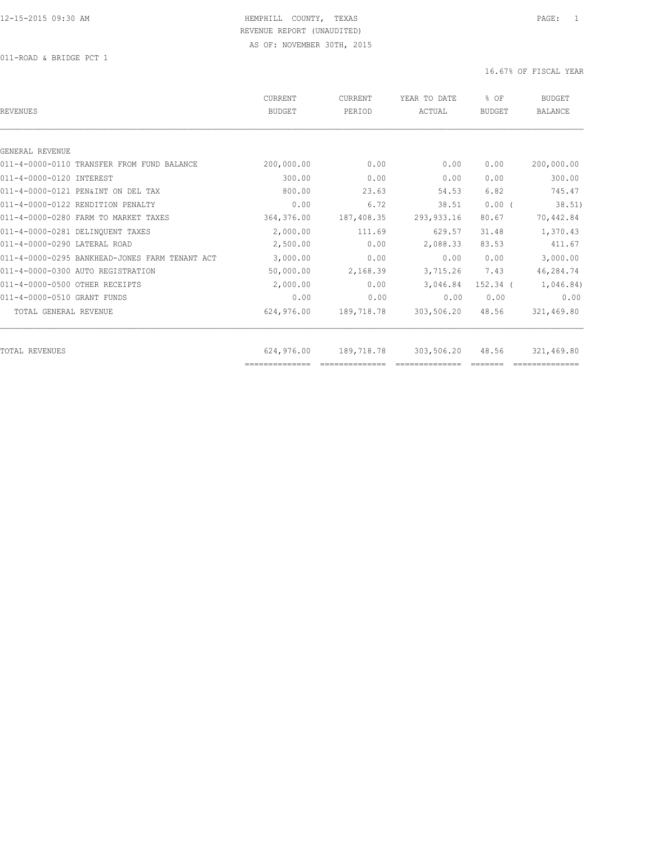011-ROAD & BRIDGE PCT 1

| REVENUES                                       | CURRENT<br><b>BUDGET</b>     | CURRENT<br>PERIOD | YEAR TO DATE<br>ACTUAL | % OF<br>BUDGET | <b>BUDGET</b><br><b>BALANCE</b> |
|------------------------------------------------|------------------------------|-------------------|------------------------|----------------|---------------------------------|
|                                                |                              |                   |                        |                |                                 |
| GENERAL REVENUE                                |                              |                   |                        |                |                                 |
| 011-4-0000-0110 TRANSFER FROM FUND BALANCE     | 200,000.00                   | 0.00              | 0.00                   | 0.00           | 200,000.00                      |
| 011-4-0000-0120 INTEREST                       | 300.00                       | 0.00              | 0.00                   | 0.00           | 300.00                          |
| 011-4-0000-0121 PEN&INT ON DEL TAX             | 800.00                       | 23.63             | 54.53                  | 6.82           | 745.47                          |
| 011-4-0000-0122 RENDITION PENALTY              | 0.00                         | 6.72              | 38.51                  | 0.00(          | 38.51)                          |
| 011-4-0000-0280 FARM TO MARKET TAXES           | 364,376.00                   | 187,408.35        | 293, 933.16            | 80.67          | 70,442.84                       |
| 011-4-0000-0281 DELINOUENT TAXES               | 2,000.00                     | 111.69            | 629.57                 | 31.48          | 1,370.43                        |
| 011-4-0000-0290 LATERAL ROAD                   | 2,500.00                     | 0.00              | 2,088.33               | 83.53          | 411.67                          |
| 011-4-0000-0295 BANKHEAD-JONES FARM TENANT ACT | 3,000.00                     | 0.00              | 0.00                   | 0.00           | 3,000.00                        |
| 011-4-0000-0300 AUTO REGISTRATION              | 50,000.00                    | 2,168.39          | 3,715.26               | 7.43           | 46,284.74                       |
| 011-4-0000-0500 OTHER RECEIPTS                 | 2,000.00                     | 0.00              | 3,046.84               | $152.34$ $($   | 1,046.84)                       |
| 011-4-0000-0510 GRANT FUNDS                    | 0.00                         | 0.00              | 0.00                   | 0.00           | 0.00                            |
| TOTAL GENERAL REVENUE                          | 624,976.00                   | 189,718.78        | 303,506.20             | 48.56          | 321,469.80                      |
|                                                |                              |                   |                        |                |                                 |
| TOTAL REVENUES                                 | 624,976.00<br>============== | 189,718.78        | 303,506.20             | 48.56          | 321,469.80                      |
|                                                |                              |                   |                        |                |                                 |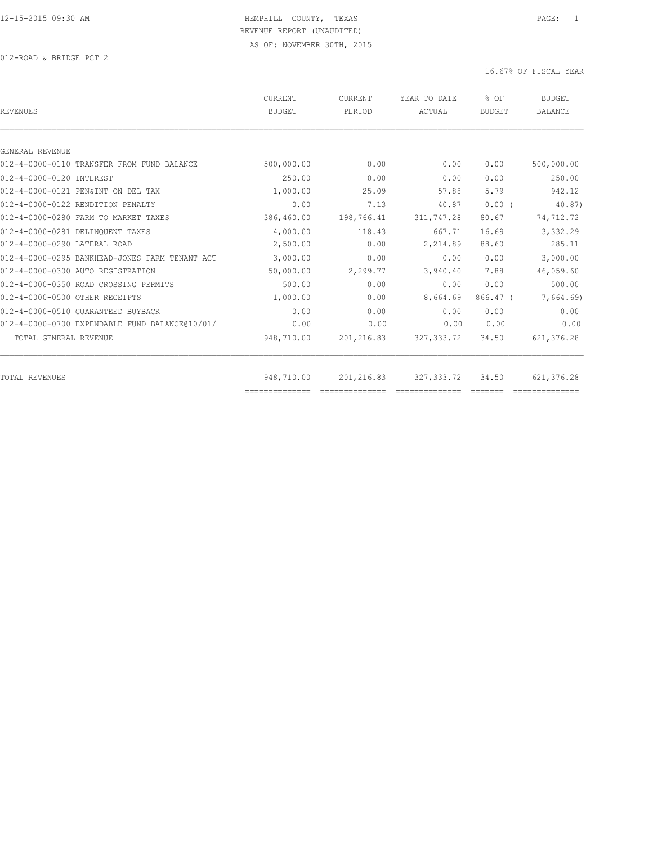012-ROAD & BRIDGE PCT 2

| <b>REVENUES</b>                                | CURRENT<br><b>BUDGET</b> | CURRENT<br>PERIOD | YEAR TO DATE<br>ACTUAL | % OF<br><b>BUDGET</b> | <b>BUDGET</b><br><b>BALANCE</b> |
|------------------------------------------------|--------------------------|-------------------|------------------------|-----------------------|---------------------------------|
|                                                |                          |                   |                        |                       |                                 |
| GENERAL REVENUE                                |                          |                   |                        |                       |                                 |
| 012-4-0000-0110 TRANSFER FROM FUND BALANCE     | 500,000.00               | 0.00              | 0.00                   | 0.00                  | 500,000.00                      |
| 012-4-0000-0120 INTEREST                       | 250.00                   | 0.00              | 0.00                   | 0.00                  | 250.00                          |
| 012-4-0000-0121 PEN&INT ON DEL TAX             | 1,000.00                 | 25.09             | 57.88                  | 5.79                  | 942.12                          |
| 012-4-0000-0122 RENDITION PENALTY              | 0.00                     | 7.13              | 40.87                  | $0.00$ (              | 40.87                           |
| 012-4-0000-0280 FARM TO MARKET TAXES           | 386,460.00               | 198,766.41        | 311,747.28             | 80.67                 | 74,712.72                       |
| 012-4-0000-0281 DELINQUENT TAXES               | 4,000.00                 | 118.43            | 667.71                 | 16.69                 | 3,332.29                        |
| 012-4-0000-0290 LATERAL ROAD                   | 2,500.00                 | 0.00              | 2,214.89               | 88.60                 | 285.11                          |
| 012-4-0000-0295 BANKHEAD-JONES FARM TENANT ACT | 3,000.00                 | 0.00              | 0.00                   | 0.00                  | 3,000.00                        |
| 012-4-0000-0300 AUTO REGISTRATION              | 50,000.00                | 2,299.77          | 3,940.40               | 7.88                  | 46,059.60                       |
| 012-4-0000-0350 ROAD CROSSING PERMITS          | 500.00                   | 0.00              | 0.00                   | 0.00                  | 500.00                          |
| 012-4-0000-0500 OTHER RECEIPTS                 | 1,000.00                 | 0.00              | 8,664.69               | $866.47$ (            | 7,664.69)                       |
| 012-4-0000-0510 GUARANTEED BUYBACK             | 0.00                     | 0.00              | 0.00                   | 0.00                  | 0.00                            |
| 012-4-0000-0700 EXPENDABLE FUND BALANCE@10/01/ | 0.00                     | 0.00              | 0.00                   | 0.00                  | 0.00                            |
| TOTAL GENERAL REVENUE                          | 948,710.00               | 201,216.83        | 327, 333.72            | 34.50                 | 621, 376.28                     |
| TOTAL REVENUES                                 | 948,710.00               | 201,216.83        | 327, 333, 72           | 34.50                 | 621,376.28                      |
|                                                | ==============           |                   |                        |                       |                                 |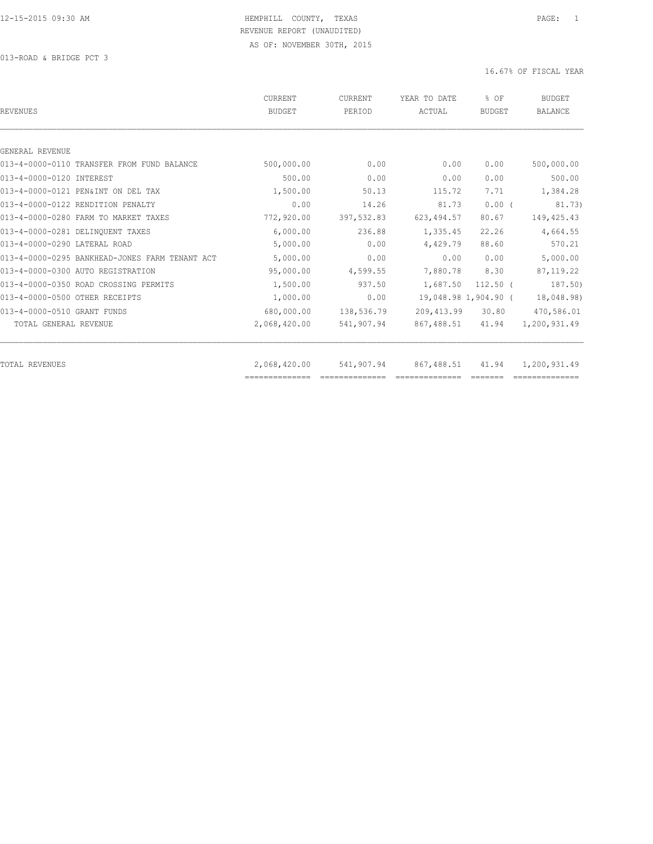013-ROAD & BRIDGE PCT 3

| REVENUES                                       | CURRENT<br><b>BUDGET</b> | CURRENT<br>PERIOD | YEAR TO DATE<br>ACTUAL | % OF<br>BUDGET       | <b>BUDGET</b><br><b>BALANCE</b> |
|------------------------------------------------|--------------------------|-------------------|------------------------|----------------------|---------------------------------|
|                                                |                          |                   |                        |                      |                                 |
| GENERAL REVENUE                                |                          |                   |                        |                      |                                 |
| 013-4-0000-0110 TRANSFER FROM FUND BALANCE     | 500,000.00               | 0.00              | 0.00                   | 0.00                 | 500,000.00                      |
| 013-4-0000-0120 INTEREST                       | 500.00                   | 0.00              | 0.00                   | 0.00                 | 500.00                          |
| 013-4-0000-0121 PEN&INT ON DEL TAX             | 1,500.00                 | 50.13             | 115.72                 | 7.71                 | 1,384.28                        |
| 013-4-0000-0122 RENDITION PENALTY              | 0.00                     | 14.26             | 81.73                  | $0.00$ (             | 81.73)                          |
| 013-4-0000-0280 FARM TO MARKET TAXES           | 772,920.00               | 397,532.83        | 623, 494.57            | 80.67                | 149, 425.43                     |
| 013-4-0000-0281 DELINOUENT TAXES               | 6,000.00                 | 236.88            | 1,335.45               | 22.26                | 4,664.55                        |
| 013-4-0000-0290 LATERAL ROAD                   | 5,000.00                 | 0.00              | 4,429.79               | 88.60                | 570.21                          |
| 013-4-0000-0295 BANKHEAD-JONES FARM TENANT ACT | 5,000.00                 | 0.00              | 0.00                   | 0.00                 | 5,000.00                        |
| 013-4-0000-0300 AUTO REGISTRATION              | 95,000.00                | 4,599.55          | 7,880.78               | 8.30                 | 87, 119.22                      |
| 013-4-0000-0350 ROAD CROSSING PERMITS          | 1,500.00                 | 937.50            | 1,687.50               | $112.50$ (           | 187.50)                         |
| 013-4-0000-0500 OTHER RECEIPTS                 | 1,000.00                 | 0.00              |                        | 19,048.98 1,904.90 ( | 18,048.98)                      |
| 013-4-0000-0510 GRANT FUNDS                    | 680,000.00               | 138,536.79        | 209, 413.99            | 30.80                | 470,586.01                      |
| TOTAL GENERAL REVENUE                          | 2,068,420.00             | 541,907.94        | 867,488.51             | 41.94                | 1,200,931.49                    |
|                                                |                          |                   |                        |                      |                                 |
| TOTAL REVENUES                                 | 2,068,420.00             | 541,907.94        | 867,488.51             | 41.94                | 1,200,931.49                    |
|                                                | ==============           |                   |                        |                      |                                 |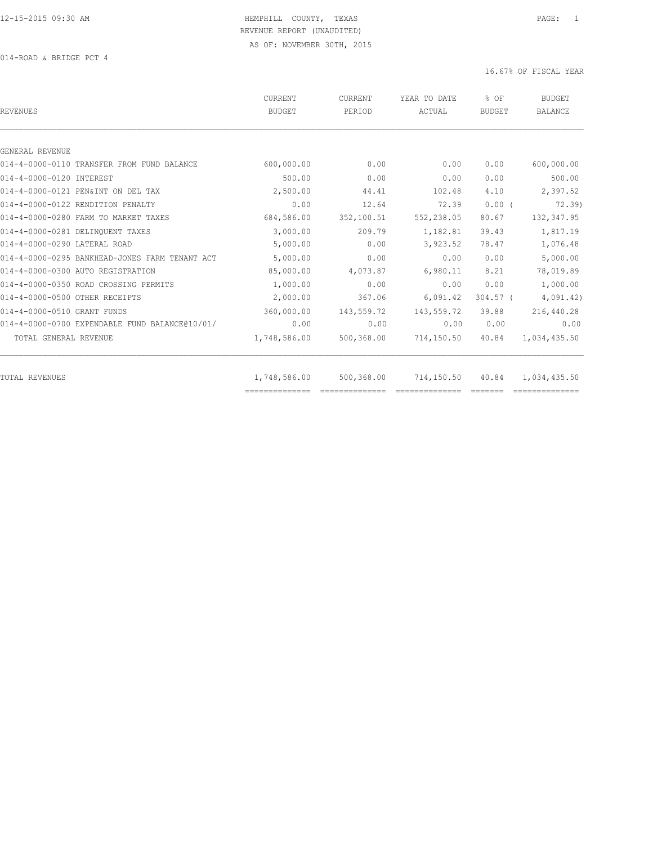014-ROAD & BRIDGE PCT 4

| 0.00<br>0.00<br>44.41<br>12.64 | 0.00<br>0.00<br>102.48<br>72.39 | 0.00<br>0.00<br>4.10<br>0.00( | 600,000.00<br>500.00<br>2,397.52 |
|--------------------------------|---------------------------------|-------------------------------|----------------------------------|
|                                |                                 |                               |                                  |
|                                |                                 |                               |                                  |
|                                |                                 |                               |                                  |
|                                |                                 |                               |                                  |
|                                |                                 |                               |                                  |
|                                |                                 |                               | 72.39)                           |
|                                | 552,238.05                      | 80.67                         | 132,347.95                       |
| 209.79                         | 1,182.81                        | 39.43                         | 1,817.19                         |
| 0.00                           | 3,923.52                        | 78.47                         | 1,076.48                         |
| 0.00                           | 0.00                            | 0.00                          | 5,000.00                         |
| 4,073.87                       | 6,980.11                        | 8.21                          | 78,019.89                        |
| 0.00                           | 0.00                            | 0.00                          | 1,000.00                         |
| 367.06                         | 6,091.42                        | $304.57$ (                    | 4,091.42)                        |
| 143,559.72                     | 143,559.72                      | 39.88                         | 216,440.28                       |
| 0.00                           | 0.00                            | 0.00                          | 0.00                             |
| 500,368.00                     | 714,150.50                      | 40.84                         | 1,034,435.50                     |
|                                |                                 |                               | 1,034,435.50                     |
|                                | 352,100.51<br>500,368.00        | 714,150.50                    | 40.84                            |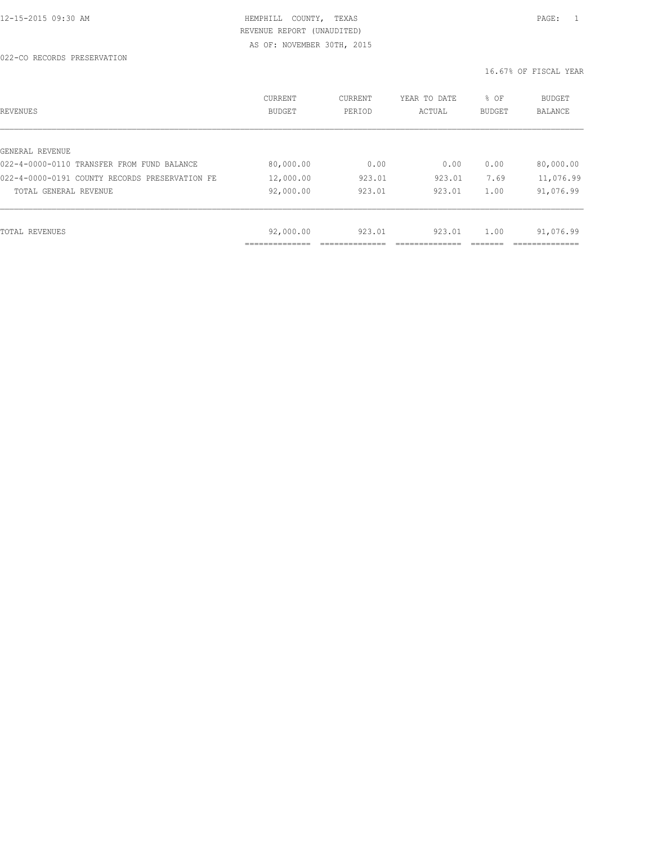022-CO RECORDS PRESERVATION

| REVENUES                                       | CURRENT<br><b>BUDGET</b> | CURRENT<br>PERIOD | YEAR TO DATE<br>ACTUAL | % OF<br>BUDGET | <b>BUDGET</b><br><b>BALANCE</b> |
|------------------------------------------------|--------------------------|-------------------|------------------------|----------------|---------------------------------|
|                                                |                          |                   |                        |                |                                 |
| GENERAL REVENUE                                |                          |                   |                        |                |                                 |
| 022-4-0000-0110 TRANSFER FROM FUND BALANCE     | 80,000.00                | 0.00              | 0.00                   | 0.00           | 80,000.00                       |
| 022-4-0000-0191 COUNTY RECORDS PRESERVATION FE | 12,000.00                | 923.01            | 923.01                 | 7.69           | 11,076.99                       |
| TOTAL GENERAL REVENUE                          | 92,000.00                | 923.01            | 923.01                 | 1.00           | 91,076.99                       |
|                                                |                          |                   |                        |                |                                 |
| TOTAL REVENUES                                 | 92,000.00                | 923.01            | 923.01                 | 1.00           | 91,076.99                       |
|                                                | -----------              |                   |                        |                |                                 |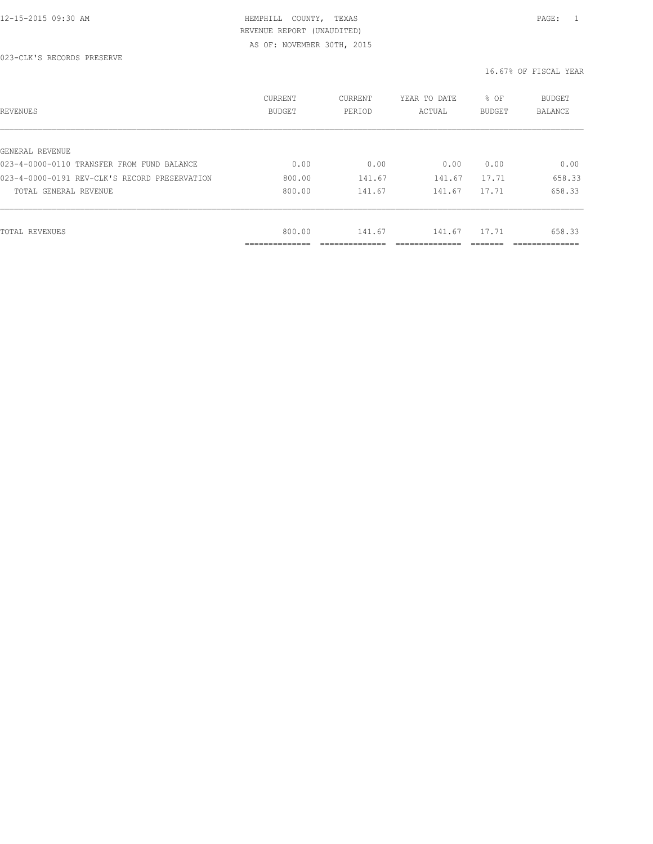023-CLK'S RECORDS PRESERVE

| REVENUES                                      | CURRENT<br><b>BUDGET</b>    | CURRENT<br>PERIOD | YEAR TO DATE<br>ACTUAL | % OF<br><b>BUDGET</b> | <b>BUDGET</b><br>BALANCE |
|-----------------------------------------------|-----------------------------|-------------------|------------------------|-----------------------|--------------------------|
|                                               |                             |                   |                        |                       |                          |
| GENERAL REVENUE                               |                             |                   |                        |                       |                          |
| 023-4-0000-0110 TRANSFER FROM FUND BALANCE    | 0.00                        | 0.00              | 0.00                   | 0.00                  | 0.00                     |
| 023-4-0000-0191 REV-CLK'S RECORD PRESERVATION | 800.00                      | 141.67            | 141.67                 | 17.71                 | 658.33                   |
| TOTAL GENERAL REVENUE                         | 800.00                      | 141.67            | 141.67                 | 17.71                 | 658.33                   |
|                                               |                             |                   |                        |                       |                          |
| TOTAL REVENUES                                | 800.00                      | 141.67            | 141.67                 | 17.71                 | 658.33                   |
|                                               | -------------<br>__________ |                   |                        |                       | __________               |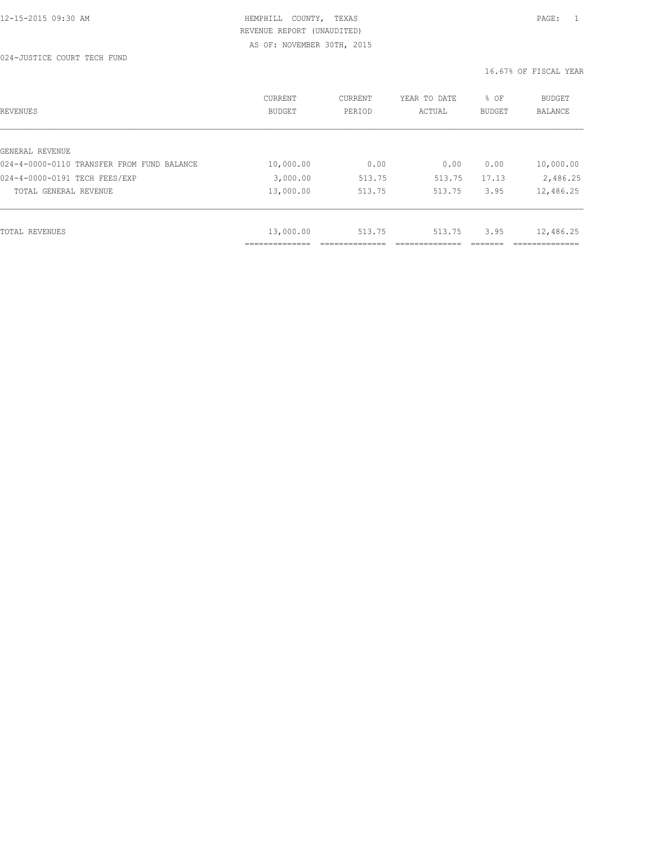024-JUSTICE COURT TECH FUND

| REVENUES                                   | <b>CURRENT</b><br><b>BUDGET</b> | CURRENT<br>PERIOD | YEAR TO DATE<br>ACTUAL | % OF<br>BUDGET | BUDGET<br><b>BALANCE</b> |
|--------------------------------------------|---------------------------------|-------------------|------------------------|----------------|--------------------------|
|                                            |                                 |                   |                        |                |                          |
| GENERAL REVENUE                            |                                 |                   |                        |                |                          |
| 024-4-0000-0110 TRANSFER FROM FUND BALANCE | 10,000.00                       | 0.00              | 0.00                   | 0.00           | 10,000.00                |
| 024-4-0000-0191 TECH FEES/EXP              | 3,000.00                        | 513.75            | 513.75                 | 17.13          | 2,486.25                 |
| TOTAL GENERAL REVENUE                      | 13,000.00                       | 513.75            | 513.75                 | 3.95           | 12,486.25                |
|                                            |                                 |                   |                        |                |                          |
| TOTAL REVENUES                             | 13,000.00                       | 513.75            | 513.75                 | 3.95           | 12,486.25                |
|                                            | -----------                     |                   |                        |                |                          |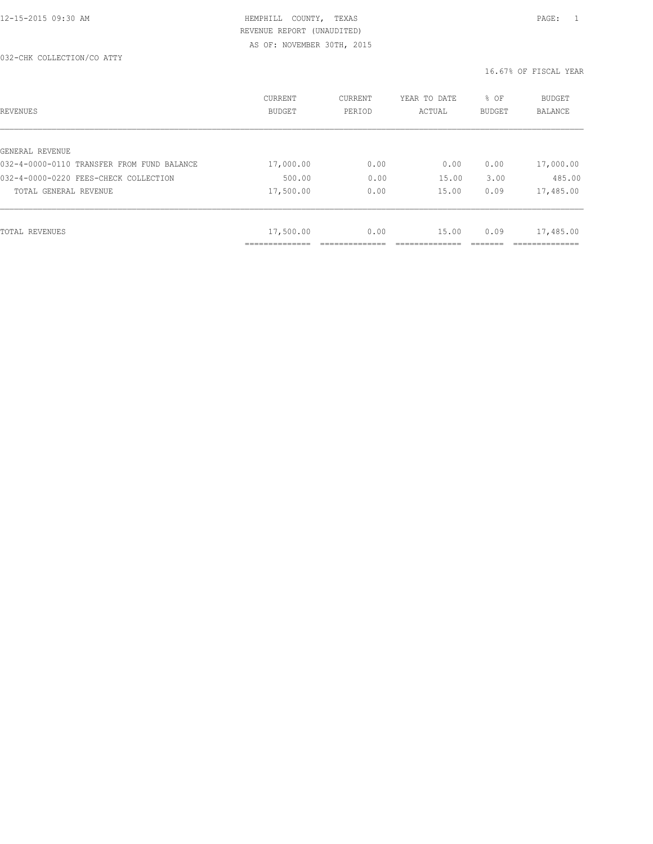#### 032-CHK COLLECTION/CO ATTY

| REVENUES                                   | <b>CURRENT</b><br><b>BUDGET</b> | CURRENT<br>PERIOD | YEAR TO DATE<br>ACTUAL | % OF<br><b>BUDGET</b> | <b>BUDGET</b><br><b>BALANCE</b> |
|--------------------------------------------|---------------------------------|-------------------|------------------------|-----------------------|---------------------------------|
|                                            |                                 |                   |                        |                       |                                 |
| GENERAL REVENUE                            |                                 |                   |                        |                       |                                 |
| 032-4-0000-0110 TRANSFER FROM FUND BALANCE | 17,000.00                       | 0.00              | 0.00                   | 0.00                  | 17,000.00                       |
| 032-4-0000-0220 FEES-CHECK COLLECTION      | 500.00                          | 0.00              | 15.00                  | 3.00                  | 485.00                          |
| TOTAL GENERAL REVENUE                      | 17,500.00                       | 0.00              | 15.00                  | 0.09                  | 17,485.00                       |
|                                            |                                 |                   |                        |                       |                                 |
|                                            |                                 |                   |                        |                       |                                 |
| TOTAL REVENUES                             | 17,500.00                       | 0.00              | 15.00                  | 0.09                  | 17,485.00                       |
|                                            | .                               |                   |                        |                       |                                 |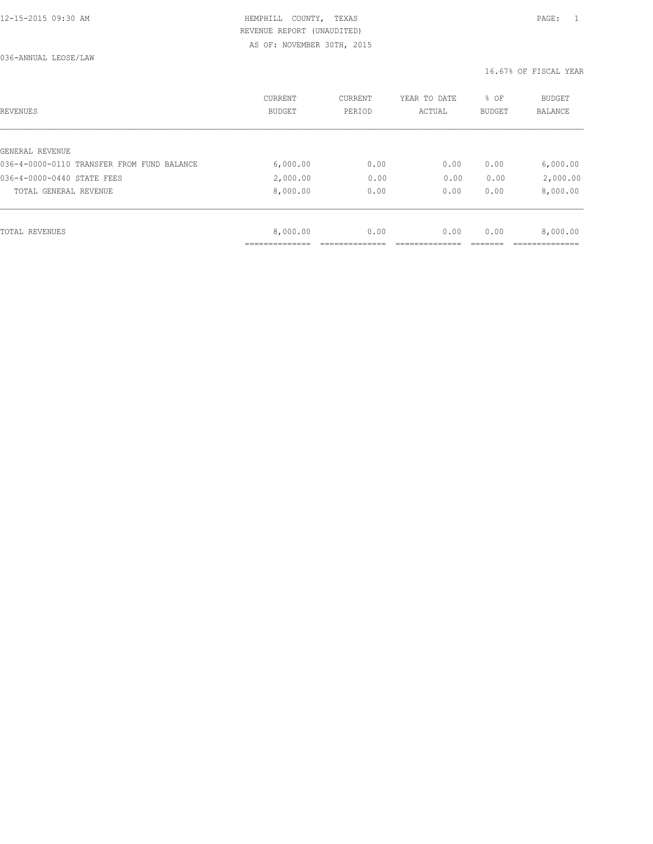036-ANNUAL LEOSE/LAW

| REVENUES                                   | <b>CURRENT</b><br><b>BUDGET</b> | CURRENT<br>PERIOD | YEAR TO DATE<br>ACTUAL | % OF<br>BUDGET | BUDGET<br><b>BALANCE</b> |
|--------------------------------------------|---------------------------------|-------------------|------------------------|----------------|--------------------------|
|                                            |                                 |                   |                        |                |                          |
| GENERAL REVENUE                            |                                 |                   |                        |                |                          |
| 036-4-0000-0110 TRANSFER FROM FUND BALANCE | 6,000.00                        | 0.00              | 0.00                   | 0.00           | 6,000.00                 |
| 036-4-0000-0440 STATE FEES                 | 2,000.00                        | 0.00              | 0.00                   | 0.00           | 2,000.00                 |
| TOTAL GENERAL REVENUE                      | 8,000.00                        | 0.00              | 0.00                   | 0.00           | 8,000.00                 |
|                                            |                                 |                   |                        |                |                          |
| TOTAL REVENUES                             | 8,000.00                        | 0.00              | 0.00                   | 0.00           | 8,000.00                 |
|                                            |                                 |                   |                        |                |                          |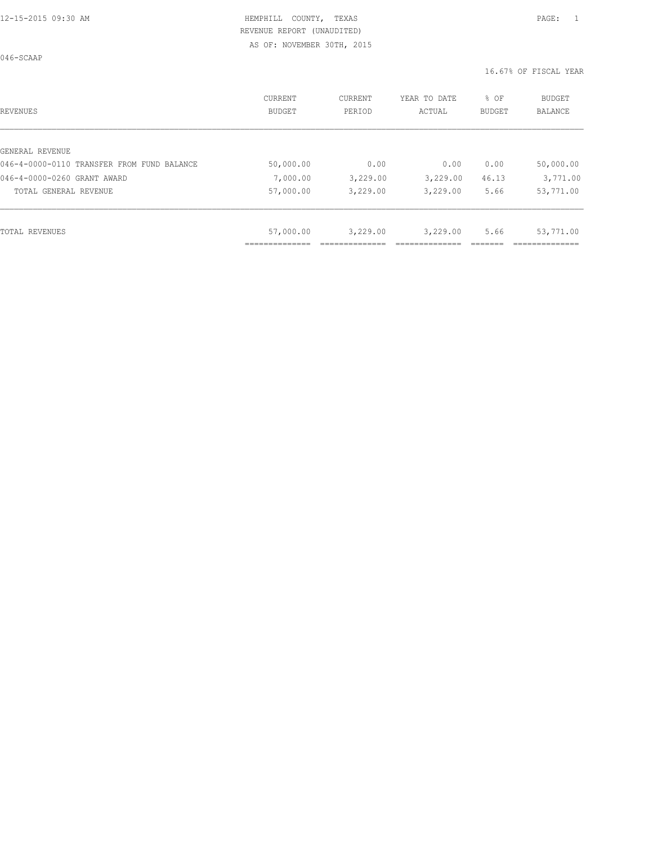046-SCAAP

| REVENUES                                   | CURRENT<br><b>BUDGET</b> | CURRENT<br>PERIOD | YEAR TO DATE<br>ACTUAL | % OF<br>BUDGET | <b>BUDGET</b><br>BALANCE |
|--------------------------------------------|--------------------------|-------------------|------------------------|----------------|--------------------------|
|                                            |                          |                   |                        |                |                          |
| GENERAL REVENUE                            |                          |                   |                        |                |                          |
| 046-4-0000-0110 TRANSFER FROM FUND BALANCE | 50,000.00                | 0.00              | 0.00                   | 0.00           | 50,000.00                |
| 046-4-0000-0260 GRANT AWARD                | 7,000.00                 | 3,229.00          | 3,229.00               | 46.13          | 3,771.00                 |
| TOTAL GENERAL REVENUE                      | 57,000.00                | 3,229.00          | 3,229.00               | 5.66           | 53,771.00                |
|                                            |                          |                   |                        |                |                          |
| TOTAL REVENUES                             | 57,000.00                | 3,229.00          | 3,229.00               | 5.66           | 53,771.00                |
|                                            |                          |                   |                        |                |                          |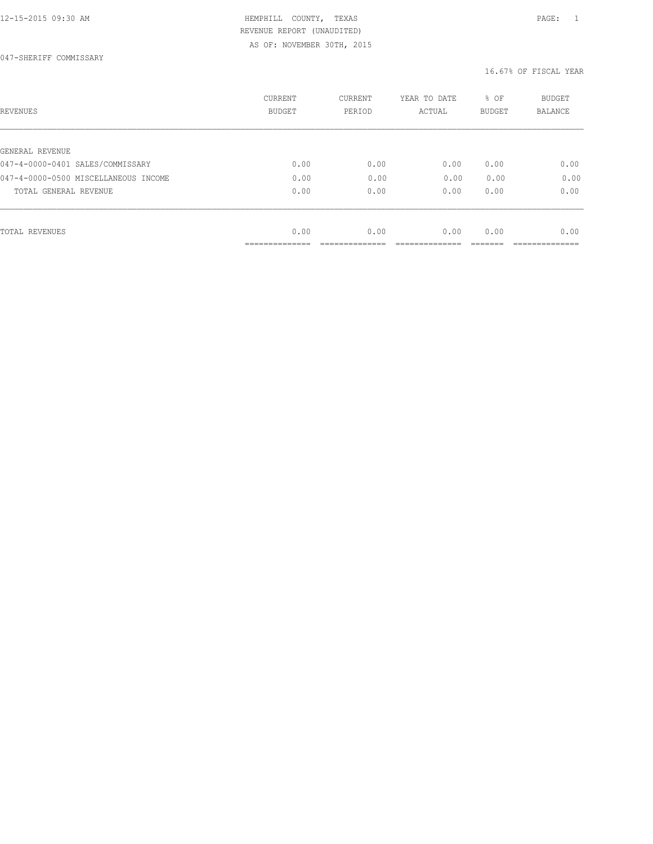| REVENUES                             | CURRENT<br><b>BUDGET</b> | CURRENT<br>PERIOD | YEAR TO DATE<br>ACTUAL | % OF<br>BUDGET | BUDGET<br><b>BALANCE</b> |
|--------------------------------------|--------------------------|-------------------|------------------------|----------------|--------------------------|
|                                      |                          |                   |                        |                |                          |
| GENERAL REVENUE                      |                          |                   |                        |                |                          |
| 047-4-0000-0401 SALES/COMMISSARY     | 0.00                     | 0.00              | 0.00                   | 0.00           | 0.00                     |
| 047-4-0000-0500 MISCELLANEOUS INCOME | 0.00                     | 0.00              | 0.00                   | 0.00           | 0.00                     |
| TOTAL GENERAL REVENUE                | 0.00                     | 0.00              | 0.00                   | 0.00           | 0.00                     |
|                                      |                          |                   |                        |                |                          |
| TOTAL REVENUES                       | 0.00                     | 0.00              | 0.00                   | 0.00           | 0.00                     |
|                                      | __________               |                   |                        |                |                          |